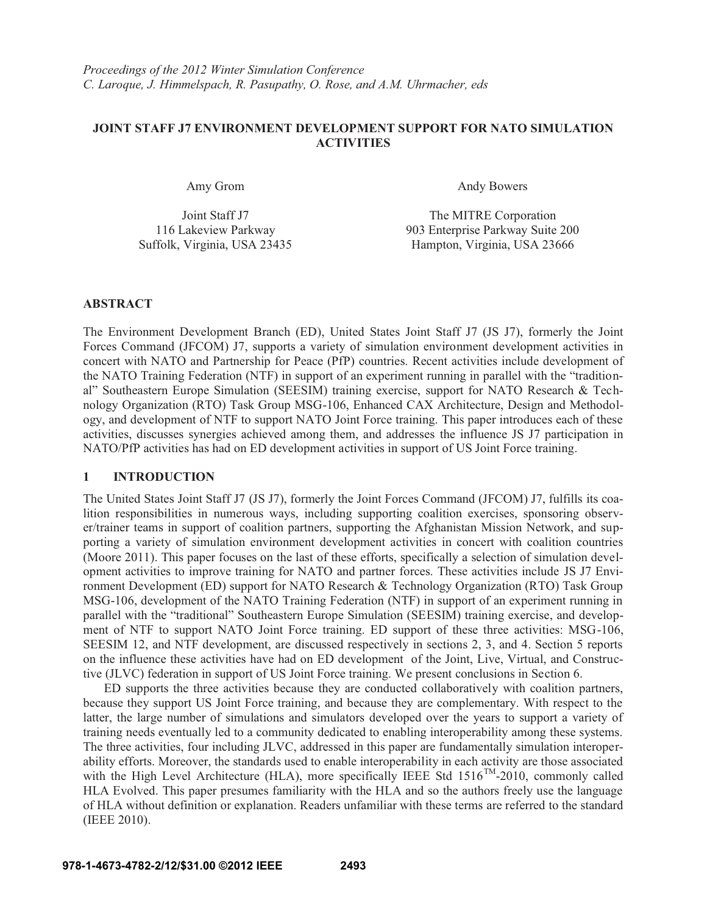# **JOINT STAFF J7 ENVIRONMENT DEVELOPMENT SUPPORT FOR NATO SIMULATION ACTIVITIES**

Amy Grom Andy Bowers

Joint Staff J7 The MITRE Corporation 116 Lakeview Parkway 903 Enterprise Parkway Suite 200 Suffolk, Virginia, USA 23435 Hampton, Virginia, USA 23666

### **ABSTRACT**

The Environment Development Branch (ED), United States Joint Staff J7 (JS J7), formerly the Joint Forces Command (JFCOM) J7, supports a variety of simulation environment development activities in concert with NATO and Partnership for Peace (PfP) countries. Recent activities include development of the NATO Training Federation (NTF) in support of an experiment running in parallel with the "traditional" Southeastern Europe Simulation (SEESIM) training exercise, support for NATO Research & Technology Organization (RTO) Task Group MSG-106, Enhanced CAX Architecture, Design and Methodology, and development of NTF to support NATO Joint Force training. This paper introduces each of these activities, discusses synergies achieved among them, and addresses the influence JS J7 participation in NATO/PfP activities has had on ED development activities in support of US Joint Force training.

# **1 INTRODUCTION**

The United States Joint Staff J7 (JS J7), formerly the Joint Forces Command (JFCOM) J7, fulfills its coalition responsibilities in numerous ways, including supporting coalition exercises, sponsoring observer/trainer teams in support of coalition partners, supporting the Afghanistan Mission Network, and supporting a variety of simulation environment development activities in concert with coalition countries (Moore 2011). This paper focuses on the last of these efforts, specifically a selection of simulation development activities to improve training for NATO and partner forces. These activities include JS J7 Environment Development (ED) support for NATO Research & Technology Organization (RTO) Task Group MSG-106, development of the NATO Training Federation (NTF) in support of an experiment running in parallel with the "traditional" Southeastern Europe Simulation (SEESIM) training exercise, and development of NTF to support NATO Joint Force training. ED support of these three activities: MSG-106, SEESIM 12, and NTF development, are discussed respectively in sections 2, 3, and 4. Section 5 reports on the influence these activities have had on ED development of the Joint, Live, Virtual, and Constructive (JLVC) federation in support of US Joint Force training. We present conclusions in Section 6.

 ED supports the three activities because they are conducted collaboratively with coalition partners, because they support US Joint Force training, and because they are complementary. With respect to the latter, the large number of simulations and simulators developed over the years to support a variety of training needs eventually led to a community dedicated to enabling interoperability among these systems. The three activities, four including JLVC, addressed in this paper are fundamentally simulation interoperability efforts. Moreover, the standards used to enable interoperability in each activity are those associated with the High Level Architecture (HLA), more specifically IEEE Std  $1516^{TM}$ -2010, commonly called HLA Evolved. This paper presumes familiarity with the HLA and so the authors freely use the language of HLA without definition or explanation. Readers unfamiliar with these terms are referred to the standard (IEEE 2010).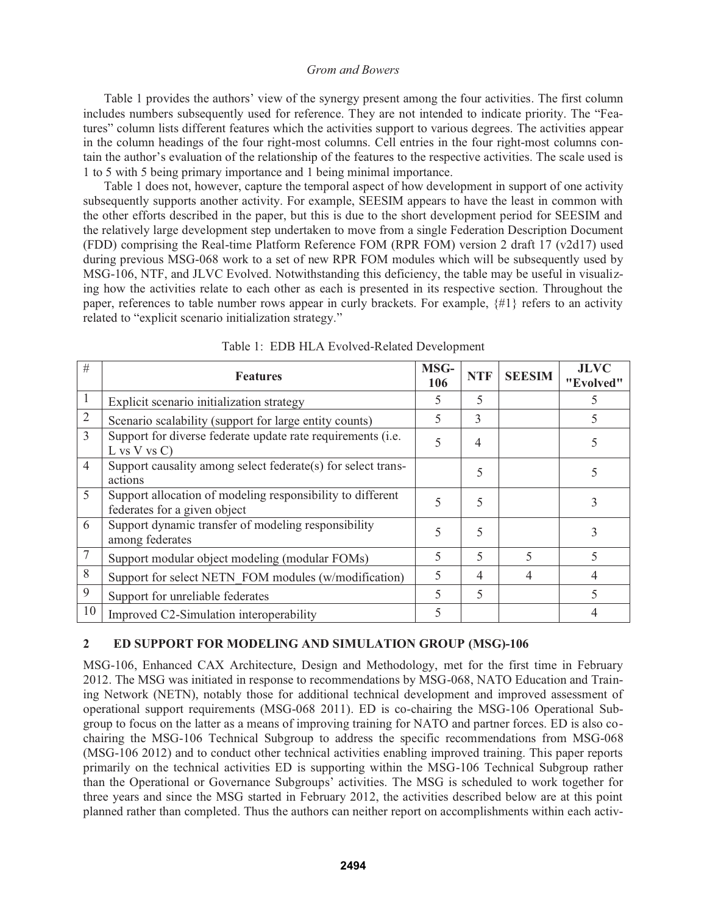Table 1 provides the authors' view of the synergy present among the four activities. The first column includes numbers subsequently used for reference. They are not intended to indicate priority. The "Features" column lists different features which the activities support to various degrees. The activities appear in the column headings of the four right-most columns. Cell entries in the four right-most columns contain the author's evaluation of the relationship of the features to the respective activities. The scale used is 1 to 5 with 5 being primary importance and 1 being minimal importance.

Table 1 does not, however, capture the temporal aspect of how development in support of one activity subsequently supports another activity. For example, SEESIM appears to have the least in common with the other efforts described in the paper, but this is due to the short development period for SEESIM and the relatively large development step undertaken to move from a single Federation Description Document (FDD) comprising the Real-time Platform Reference FOM (RPR FOM) version 2 draft 17 (v2d17) used during previous MSG-068 work to a set of new RPR FOM modules which will be subsequently used by MSG-106, NTF, and JLVC Evolved. Notwithstanding this deficiency, the table may be useful in visualizing how the activities relate to each other as each is presented in its respective section. Throughout the paper, references to table number rows appear in curly brackets. For example, {#1} refers to an activity related to "explicit scenario initialization strategy."

| #              | <b>Features</b>                                                                            | MSG-<br>106 | <b>NTF</b>     | <b>SEESIM</b> | <b>JLVC</b><br>"Evolved" |
|----------------|--------------------------------------------------------------------------------------------|-------------|----------------|---------------|--------------------------|
|                | Explicit scenario initialization strategy                                                  | 5           | 5              |               |                          |
| 2              | Scenario scalability (support for large entity counts)                                     | 5           | 3              |               |                          |
| 3              | Support for diverse federate update rate requirements (i.e.<br>$L$ vs $V$ vs $C$ )         | 5           | 4              |               | 5                        |
| $\overline{4}$ | Support causality among select federate(s) for select trans-<br>actions                    |             | 5              |               |                          |
| 5              | Support allocation of modeling responsibility to different<br>federates for a given object | 5           | 5              |               | 3                        |
| 6              | Support dynamic transfer of modeling responsibility<br>among federates                     | 5           | 5              |               | 3                        |
|                | Support modular object modeling (modular FOMs)                                             | 5           | $\varsigma$    | 5             | 5                        |
| 8              | Support for select NETN FOM modules (w/modification)                                       | 5           | $\overline{4}$ |               | 4                        |
| 9              | Support for unreliable federates                                                           | 5           | 5              |               |                          |
| 10             | Improved C2-Simulation interoperability                                                    | 5           |                |               |                          |

Table 1: EDB HLA Evolved-Related Development

# **2 ED SUPPORT FOR MODELING AND SIMULATION GROUP (MSG)-106**

MSG-106, Enhanced CAX Architecture, Design and Methodology, met for the first time in February 2012. The MSG was initiated in response to recommendations by MSG-068, NATO Education and Training Network (NETN), notably those for additional technical development and improved assessment of operational support requirements (MSG-068 2011). ED is co-chairing the MSG-106 Operational Subgroup to focus on the latter as a means of improving training for NATO and partner forces. ED is also cochairing the MSG-106 Technical Subgroup to address the specific recommendations from MSG-068 (MSG-106 2012) and to conduct other technical activities enabling improved training. This paper reports primarily on the technical activities ED is supporting within the MSG-106 Technical Subgroup rather than the Operational or Governance Subgroups' activities. The MSG is scheduled to work together for three years and since the MSG started in February 2012, the activities described below are at this point planned rather than completed. Thus the authors can neither report on accomplishments within each activ-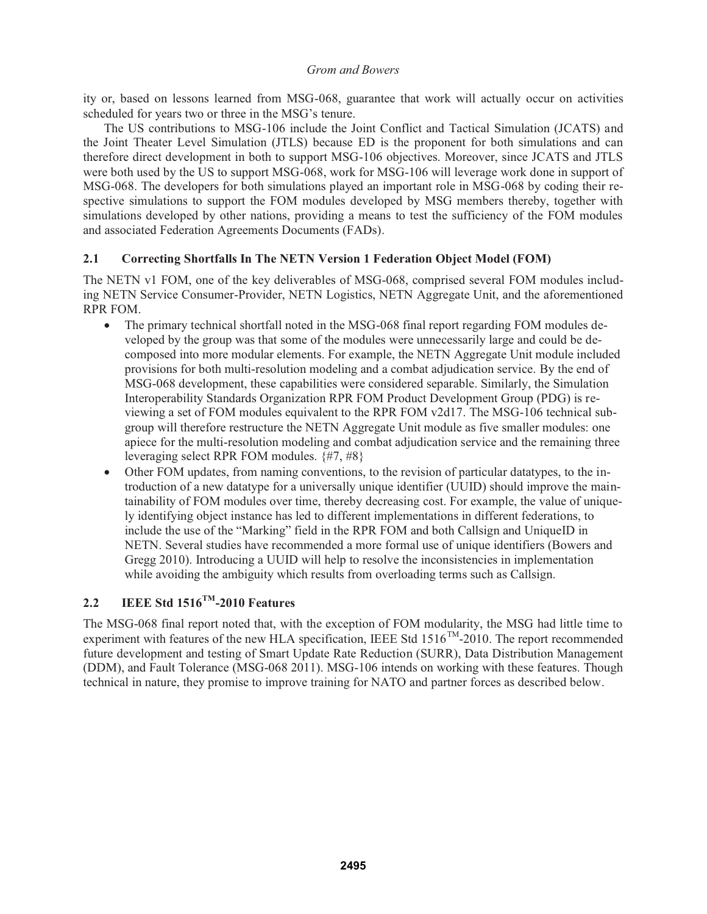ity or, based on lessons learned from MSG-068, guarantee that work will actually occur on activities scheduled for years two or three in the MSG's tenure.

The US contributions to MSG-106 include the Joint Conflict and Tactical Simulation (JCATS) and the Joint Theater Level Simulation (JTLS) because ED is the proponent for both simulations and can therefore direct development in both to support MSG-106 objectives. Moreover, since JCATS and JTLS were both used by the US to support MSG-068, work for MSG-106 will leverage work done in support of MSG-068. The developers for both simulations played an important role in MSG-068 by coding their respective simulations to support the FOM modules developed by MSG members thereby, together with simulations developed by other nations, providing a means to test the sufficiency of the FOM modules and associated Federation Agreements Documents (FADs).

# **2.1 Correcting Shortfalls In The NETN Version 1 Federation Object Model (FOM)**

The NETN v1 FOM, one of the key deliverables of MSG-068, comprised several FOM modules including NETN Service Consumer-Provider, NETN Logistics, NETN Aggregate Unit, and the aforementioned RPR FOM.

- $\bullet$  The primary technical shortfall noted in the MSG-068 final report regarding FOM modules developed by the group was that some of the modules were unnecessarily large and could be decomposed into more modular elements. For example, the NETN Aggregate Unit module included provisions for both multi-resolution modeling and a combat adjudication service. By the end of MSG-068 development, these capabilities were considered separable. Similarly, the Simulation Interoperability Standards Organization RPR FOM Product Development Group (PDG) is reviewing a set of FOM modules equivalent to the RPR FOM v2d17. The MSG-106 technical subgroup will therefore restructure the NETN Aggregate Unit module as five smaller modules: one apiece for the multi-resolution modeling and combat adjudication service and the remaining three leveraging select RPR FOM modules. {#7, #8}
- - Other FOM updates, from naming conventions, to the revision of particular datatypes, to the introduction of a new datatype for a universally unique identifier (UUID) should improve the maintainability of FOM modules over time, thereby decreasing cost. For example, the value of uniquely identifying object instance has led to different implementations in different federations, to include the use of the "Marking" field in the RPR FOM and both Callsign and UniqueID in NETN. Several studies have recommended a more formal use of unique identifiers (Bowers and Gregg 2010). Introducing a UUID will help to resolve the inconsistencies in implementation while avoiding the ambiguity which results from overloading terms such as Callsign.

# **2.2 IEEE Std 1516TM-2010 Features**

The MSG-068 final report noted that, with the exception of FOM modularity, the MSG had little time to experiment with features of the new HLA specification, IEEE Std  $1516<sup>TM</sup>$ -2010. The report recommended future development and testing of Smart Update Rate Reduction (SURR), Data Distribution Management (DDM), and Fault Tolerance (MSG-068 2011). MSG-106 intends on working with these features. Though technical in nature, they promise to improve training for NATO and partner forces as described below.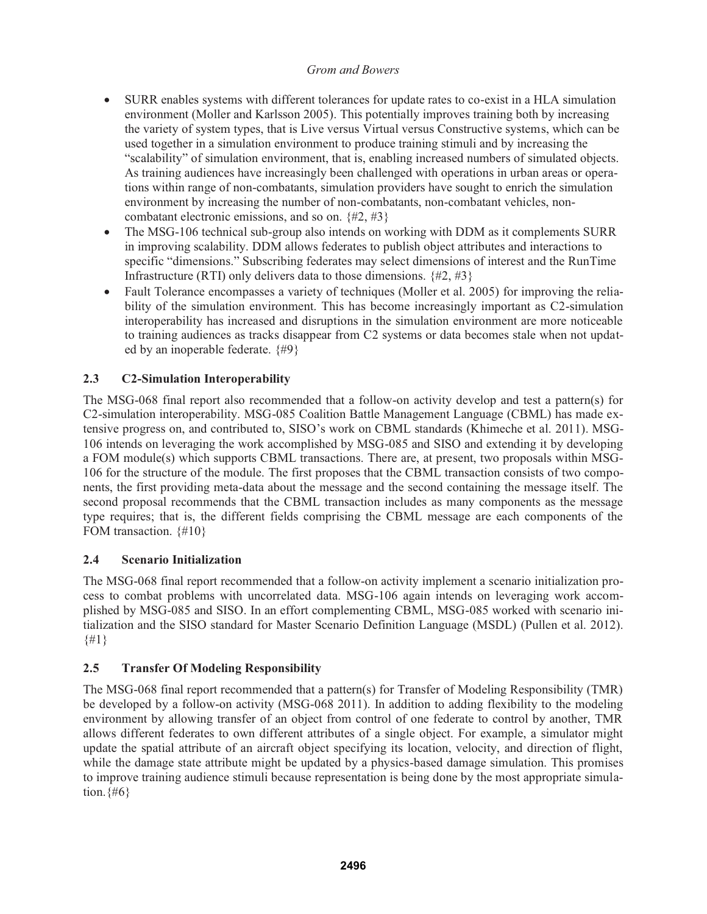- $\bullet$  SURR enables systems with different tolerances for update rates to co-exist in a HLA simulation environment (Moller and Karlsson 2005). This potentially improves training both by increasing the variety of system types, that is Live versus Virtual versus Constructive systems, which can be used together in a simulation environment to produce training stimuli and by increasing the "scalability" of simulation environment, that is, enabling increased numbers of simulated objects. As training audiences have increasingly been challenged with operations in urban areas or operations within range of non-combatants, simulation providers have sought to enrich the simulation environment by increasing the number of non-combatants, non-combatant vehicles, noncombatant electronic emissions, and so on. {#2, #3}
- $\bullet$  The MSG-106 technical sub-group also intends on working with DDM as it complements SURR in improving scalability. DDM allows federates to publish object attributes and interactions to specific "dimensions." Subscribing federates may select dimensions of interest and the RunTime Infrastructure (RTI) only delivers data to those dimensions.  $\{#2, #3\}$
- - Fault Tolerance encompasses a variety of techniques (Moller et al. 2005) for improving the reliability of the simulation environment. This has become increasingly important as C2-simulation interoperability has increased and disruptions in the simulation environment are more noticeable to training audiences as tracks disappear from C2 systems or data becomes stale when not updated by an inoperable federate. {#9}

# **2.3 C2-Simulation Interoperability**

The MSG-068 final report also recommended that a follow-on activity develop and test a pattern(s) for C2-simulation interoperability. MSG-085 Coalition Battle Management Language (CBML) has made extensive progress on, and contributed to, SISO's work on CBML standards (Khimeche et al. 2011). MSG-106 intends on leveraging the work accomplished by MSG-085 and SISO and extending it by developing a FOM module(s) which supports CBML transactions. There are, at present, two proposals within MSG-106 for the structure of the module. The first proposes that the CBML transaction consists of two components, the first providing meta-data about the message and the second containing the message itself. The second proposal recommends that the CBML transaction includes as many components as the message type requires; that is, the different fields comprising the CBML message are each components of the FOM transaction. {#10}

# **2.4 Scenario Initialization**

The MSG-068 final report recommended that a follow-on activity implement a scenario initialization process to combat problems with uncorrelated data. MSG-106 again intends on leveraging work accomplished by MSG-085 and SISO. In an effort complementing CBML, MSG-085 worked with scenario initialization and the SISO standard for Master Scenario Definition Language (MSDL) (Pullen et al. 2012). {#1}

# **2.5 Transfer Of Modeling Responsibility**

The MSG-068 final report recommended that a pattern(s) for Transfer of Modeling Responsibility (TMR) be developed by a follow-on activity (MSG-068 2011). In addition to adding flexibility to the modeling environment by allowing transfer of an object from control of one federate to control by another, TMR allows different federates to own different attributes of a single object. For example, a simulator might update the spatial attribute of an aircraft object specifying its location, velocity, and direction of flight, while the damage state attribute might be updated by a physics-based damage simulation. This promises to improve training audience stimuli because representation is being done by the most appropriate simulation.  $\{ \#6 \}$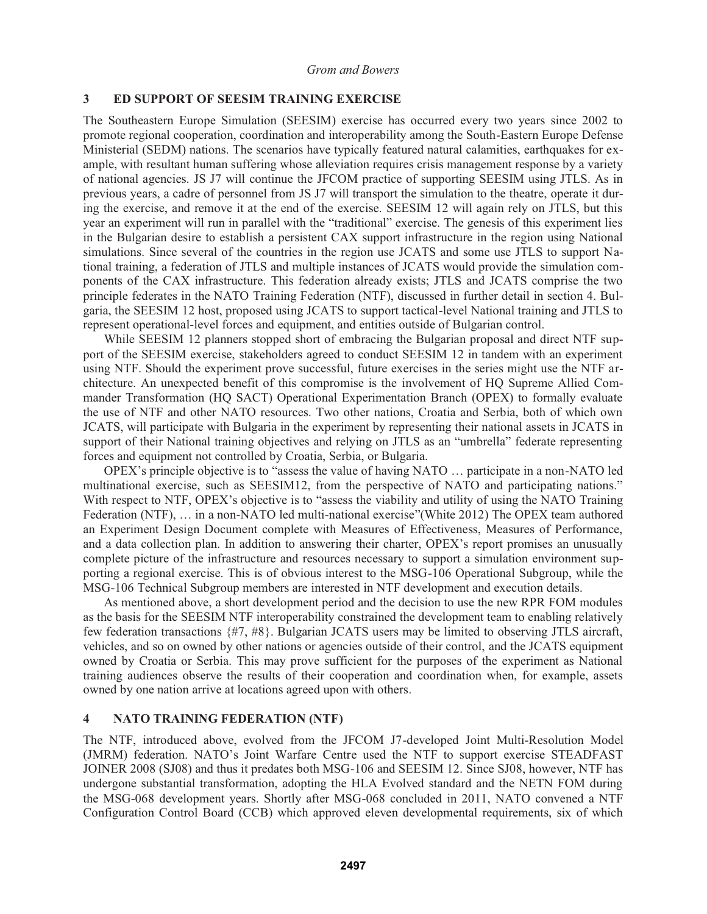#### **3 ED SUPPORT OF SEESIM TRAINING EXERCISE**

The Southeastern Europe Simulation (SEESIM) exercise has occurred every two years since 2002 to promote regional cooperation, coordination and interoperability among the South-Eastern Europe Defense Ministerial (SEDM) nations. The scenarios have typically featured natural calamities, earthquakes for example, with resultant human suffering whose alleviation requires crisis management response by a variety of national agencies. JS J7 will continue the JFCOM practice of supporting SEESIM using JTLS. As in previous years, a cadre of personnel from JS J7 will transport the simulation to the theatre, operate it during the exercise, and remove it at the end of the exercise. SEESIM 12 will again rely on JTLS, but this year an experiment will run in parallel with the "traditional" exercise. The genesis of this experiment lies in the Bulgarian desire to establish a persistent CAX support infrastructure in the region using National simulations. Since several of the countries in the region use JCATS and some use JTLS to support National training, a federation of JTLS and multiple instances of JCATS would provide the simulation components of the CAX infrastructure. This federation already exists; JTLS and JCATS comprise the two principle federates in the NATO Training Federation (NTF), discussed in further detail in section 4. Bulgaria, the SEESIM 12 host, proposed using JCATS to support tactical-level National training and JTLS to represent operational-level forces and equipment, and entities outside of Bulgarian control.

While SEESIM 12 planners stopped short of embracing the Bulgarian proposal and direct NTF support of the SEESIM exercise, stakeholders agreed to conduct SEESIM 12 in tandem with an experiment using NTF. Should the experiment prove successful, future exercises in the series might use the NTF architecture. An unexpected benefit of this compromise is the involvement of HQ Supreme Allied Commander Transformation (HQ SACT) Operational Experimentation Branch (OPEX) to formally evaluate the use of NTF and other NATO resources. Two other nations, Croatia and Serbia, both of which own JCATS, will participate with Bulgaria in the experiment by representing their national assets in JCATS in support of their National training objectives and relying on JTLS as an "umbrella" federate representing forces and equipment not controlled by Croatia, Serbia, or Bulgaria.

OPEX's principle objective is to "assess the value of having NATO … participate in a non-NATO led multinational exercise, such as SEESIM12, from the perspective of NATO and participating nations." With respect to NTF, OPEX's objective is to "assess the viability and utility of using the NATO Training Federation (NTF), … in a non-NATO led multi-national exercise"(White 2012) The OPEX team authored an Experiment Design Document complete with Measures of Effectiveness, Measures of Performance, and a data collection plan. In addition to answering their charter, OPEX's report promises an unusually complete picture of the infrastructure and resources necessary to support a simulation environment supporting a regional exercise. This is of obvious interest to the MSG-106 Operational Subgroup, while the MSG-106 Technical Subgroup members are interested in NTF development and execution details.

 As mentioned above, a short development period and the decision to use the new RPR FOM modules as the basis for the SEESIM NTF interoperability constrained the development team to enabling relatively few federation transactions {#7, #8}. Bulgarian JCATS users may be limited to observing JTLS aircraft, vehicles, and so on owned by other nations or agencies outside of their control, and the JCATS equipment owned by Croatia or Serbia. This may prove sufficient for the purposes of the experiment as National training audiences observe the results of their cooperation and coordination when, for example, assets owned by one nation arrive at locations agreed upon with others.

### **4 NATO TRAINING FEDERATION (NTF)**

The NTF, introduced above, evolved from the JFCOM J7-developed Joint Multi-Resolution Model (JMRM) federation. NATO's Joint Warfare Centre used the NTF to support exercise STEADFAST JOINER 2008 (SJ08) and thus it predates both MSG-106 and SEESIM 12. Since SJ08, however, NTF has undergone substantial transformation, adopting the HLA Evolved standard and the NETN FOM during the MSG-068 development years. Shortly after MSG-068 concluded in 2011, NATO convened a NTF Configuration Control Board (CCB) which approved eleven developmental requirements, six of which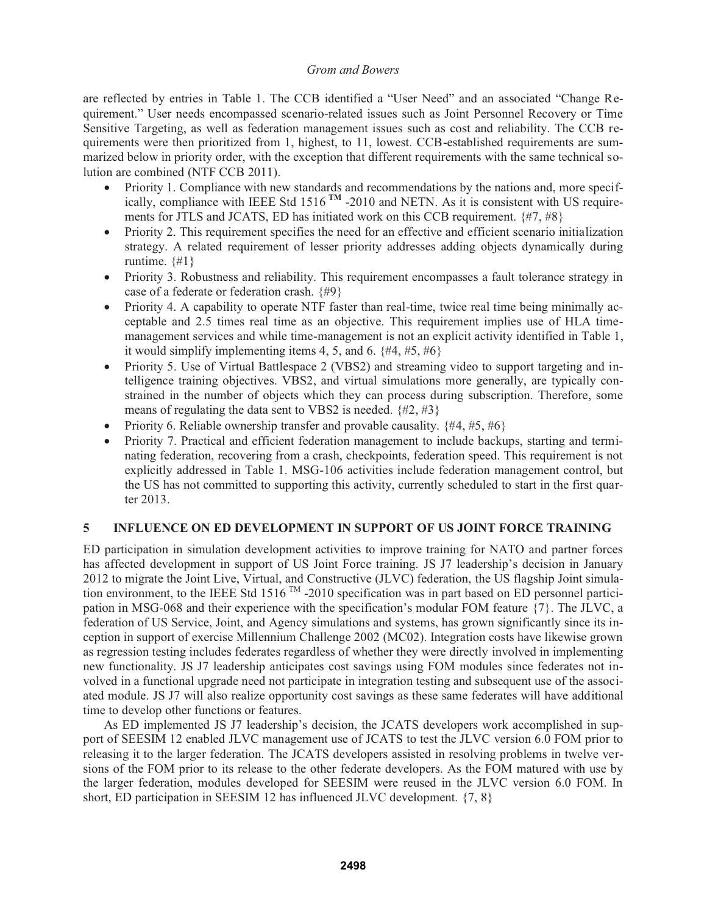are reflected by entries in Table 1. The CCB identified a "User Need" and an associated "Change Requirement." User needs encompassed scenario-related issues such as Joint Personnel Recovery or Time Sensitive Targeting, as well as federation management issues such as cost and reliability. The CCB requirements were then prioritized from 1, highest, to 11, lowest. CCB-established requirements are summarized below in priority order, with the exception that different requirements with the same technical solution are combined (NTF CCB 2011).

- Priority 1. Compliance with new standards and recommendations by the nations and, more specifically, compliance with IEEE Std 1516<sup>TM</sup> -2010 and NETN. As it is consistent with US requirements for JTLS and JCATS, ED has initiated work on this CCB requirement. {#7, #8}
- $\bullet$  Priority 2. This requirement specifies the need for an effective and efficient scenario initialization strategy. A related requirement of lesser priority addresses adding objects dynamically during runtime.  $\{ \#1 \}$
- Priority 3. Robustness and reliability. This requirement encompasses a fault tolerance strategy in case of a federate or federation crash. {#9}
- $\bullet$  Priority 4. A capability to operate NTF faster than real-time, twice real time being minimally acceptable and 2.5 times real time as an objective. This requirement implies use of HLA timemanagement services and while time-management is not an explicit activity identified in Table 1, it would simplify implementing items 4, 5, and 6.  $\{ \#4, \#5, \#6 \}$
- $\bullet$  Priority 5. Use of Virtual Battlespace 2 (VBS2) and streaming video to support targeting and intelligence training objectives. VBS2, and virtual simulations more generally, are typically constrained in the number of objects which they can process during subscription. Therefore, some means of regulating the data sent to VBS2 is needed. {#2, #3}
- Priority 6. Reliable ownership transfer and provable causality.  $\{#4, #5, #6\}$
- - Priority 7. Practical and efficient federation management to include backups, starting and terminating federation, recovering from a crash, checkpoints, federation speed. This requirement is not explicitly addressed in Table 1. MSG-106 activities include federation management control, but the US has not committed to supporting this activity, currently scheduled to start in the first quarter 2013.

# **5 INFLUENCE ON ED DEVELOPMENT IN SUPPORT OF US JOINT FORCE TRAINING**

ED participation in simulation development activities to improve training for NATO and partner forces has affected development in support of US Joint Force training. JS J7 leadership's decision in January 2012 to migrate the Joint Live, Virtual, and Constructive (JLVC) federation, the US flagship Joint simulation environment, to the IEEE Std  $1516^{TM}$  -2010 specification was in part based on ED personnel participation in MSG-068 and their experience with the specification's modular FOM feature {7}. The JLVC, a federation of US Service, Joint, and Agency simulations and systems, has grown significantly since its inception in support of exercise Millennium Challenge 2002 (MC02). Integration costs have likewise grown as regression testing includes federates regardless of whether they were directly involved in implementing new functionality. JS J7 leadership anticipates cost savings using FOM modules since federates not involved in a functional upgrade need not participate in integration testing and subsequent use of the associated module. JS J7 will also realize opportunity cost savings as these same federates will have additional time to develop other functions or features.

As ED implemented JS J7 leadership's decision, the JCATS developers work accomplished in support of SEESIM 12 enabled JLVC management use of JCATS to test the JLVC version 6.0 FOM prior to releasing it to the larger federation. The JCATS developers assisted in resolving problems in twelve versions of the FOM prior to its release to the other federate developers. As the FOM matured with use by the larger federation, modules developed for SEESIM were reused in the JLVC version 6.0 FOM. In short, ED participation in SEESIM 12 has influenced JLVC development. {7, 8}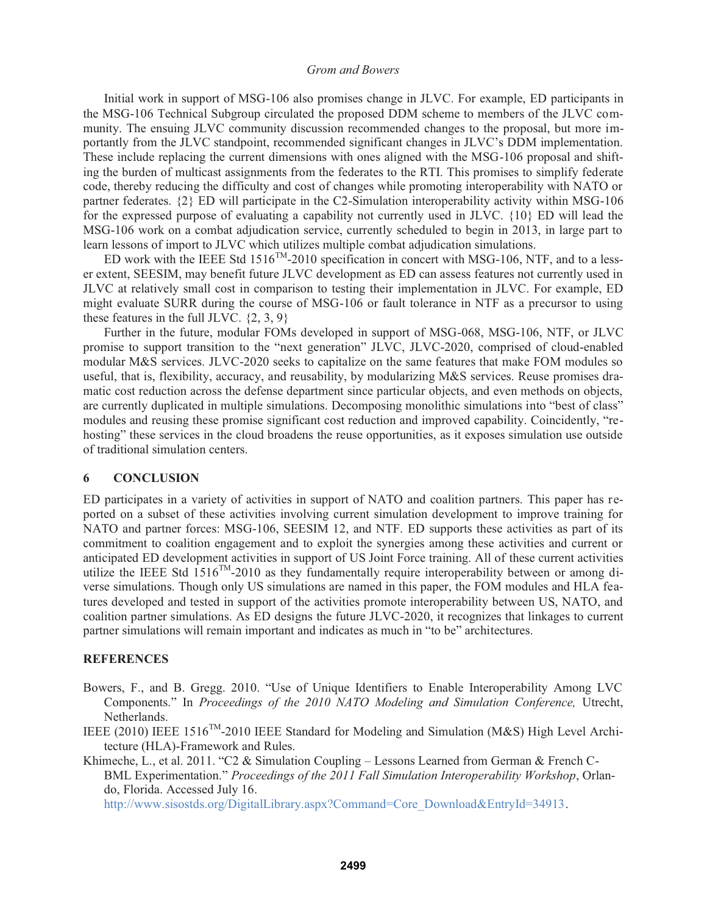Initial work in support of MSG-106 also promises change in JLVC. For example, ED participants in the MSG-106 Technical Subgroup circulated the proposed DDM scheme to members of the JLVC community. The ensuing JLVC community discussion recommended changes to the proposal, but more importantly from the JLVC standpoint, recommended significant changes in JLVC's DDM implementation. These include replacing the current dimensions with ones aligned with the MSG-106 proposal and shifting the burden of multicast assignments from the federates to the RTI. This promises to simplify federate code, thereby reducing the difficulty and cost of changes while promoting interoperability with NATO or partner federates. {2} ED will participate in the C2-Simulation interoperability activity within MSG-106 for the expressed purpose of evaluating a capability not currently used in JLVC. {10} ED will lead the MSG-106 work on a combat adjudication service, currently scheduled to begin in 2013, in large part to learn lessons of import to JLVC which utilizes multiple combat adjudication simulations.

ED work with the IEEE Std  $1516^{TM}$ -2010 specification in concert with MSG-106, NTF, and to a lesser extent, SEESIM, may benefit future JLVC development as ED can assess features not currently used in JLVC at relatively small cost in comparison to testing their implementation in JLVC. For example, ED might evaluate SURR during the course of MSG-106 or fault tolerance in NTF as a precursor to using these features in the full JLVC.  $\{2, 3, 9\}$ 

Further in the future, modular FOMs developed in support of MSG-068, MSG-106, NTF, or JLVC promise to support transition to the "next generation" JLVC, JLVC-2020, comprised of cloud-enabled modular M&S services. JLVC-2020 seeks to capitalize on the same features that make FOM modules so useful, that is, flexibility, accuracy, and reusability, by modularizing M&S services. Reuse promises dramatic cost reduction across the defense department since particular objects, and even methods on objects, are currently duplicated in multiple simulations. Decomposing monolithic simulations into "best of class" modules and reusing these promise significant cost reduction and improved capability. Coincidently, "rehosting" these services in the cloud broadens the reuse opportunities, as it exposes simulation use outside of traditional simulation centers.

#### **6 CONCLUSION**

ED participates in a variety of activities in support of NATO and coalition partners. This paper has reported on a subset of these activities involving current simulation development to improve training for NATO and partner forces: MSG-106, SEESIM 12, and NTF. ED supports these activities as part of its commitment to coalition engagement and to exploit the synergies among these activities and current or anticipated ED development activities in support of US Joint Force training. All of these current activities utilize the IEEE Std 1516<sup>TM</sup>-2010 as they fundamentally require interoperability between or among diverse simulations. Though only US simulations are named in this paper, the FOM modules and HLA features developed and tested in support of the activities promote interoperability between US, NATO, and coalition partner simulations. As ED designs the future JLVC-2020, it recognizes that linkages to current partner simulations will remain important and indicates as much in "to be" architectures.

# **REFERENCES**

- Bowers, F., and B. Gregg. 2010. "Use of Unique Identifiers to Enable Interoperability Among LVC Components." In *Proceedings of the 2010 NATO Modeling and Simulation Conference,* Utrecht, Netherlands.
- IEEE (2010) IEEE 1516<sup>TM</sup>-2010 IEEE Standard for Modeling and Simulation (M&S) High Level Architecture (HLA)-Framework and Rules.

Khimeche, L., et al. 2011. "C2 & Simulation Coupling – Lessons Learned from German & French C-BML Experimentation." *Proceedings of the 2011 Fall Simulation Interoperability Workshop*, Orlando, Florida. Accessed July 16.

http://www.sisostds.org/DigitalLibrary.aspx?Command=Core\_Download&EntryId=34913.